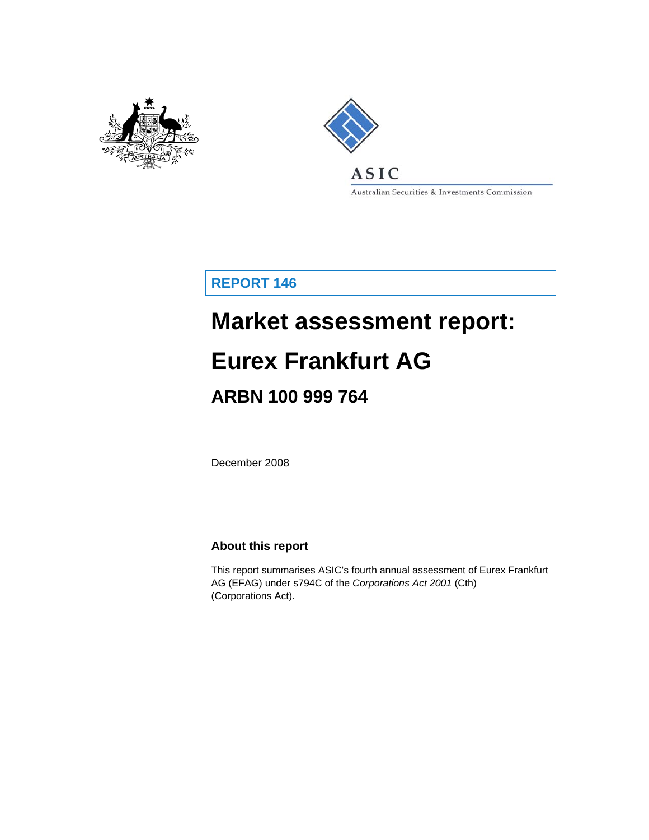



Australian Securities & Investments Commission

**REPORT 146** 

# **Market assessment report:**

# **Eurex Frankfurt AG**

# **ARBN 100 999 764**

December 2008

#### **About this report**

This report summarises ASIC's fourth annual assessment of Eurex Frankfurt AG (EFAG) under s794C of the *Corporations Act 2001* (Cth) (Corporations Act).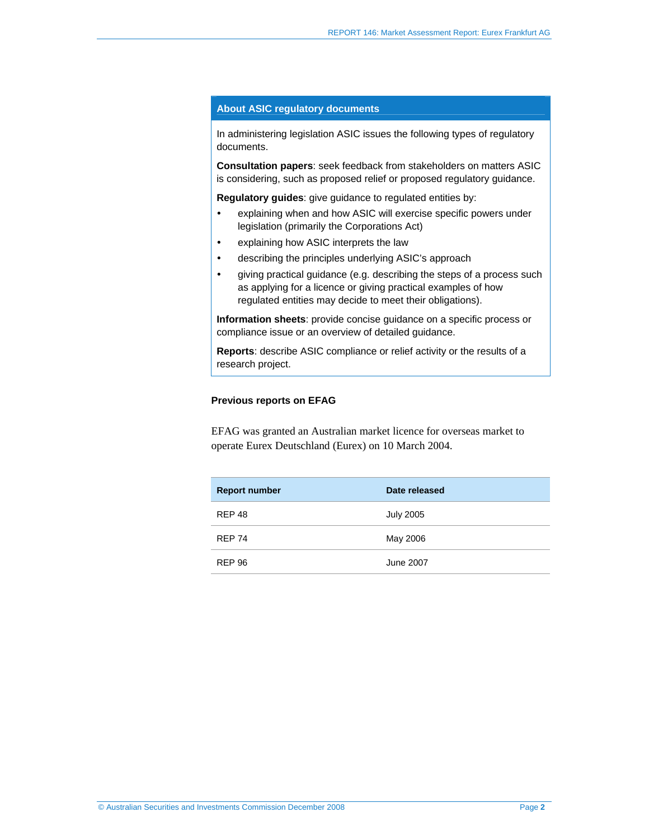#### **About ASIC regulatory documents**

In administering legislation ASIC issues the following types of regulatory documents.

**Consultation papers**: seek feedback from stakeholders on matters ASIC is considering, such as proposed relief or proposed regulatory guidance.

**Regulatory guides**: give guidance to regulated entities by:

- explaining when and how ASIC will exercise specific powers under legislation (primarily the Corporations Act)
- explaining how ASIC interprets the law
- describing the principles underlying ASIC's approach
- giving practical guidance (e.g. describing the steps of a process such as applying for a licence or giving practical examples of how regulated entities may decide to meet their obligations).

**Information sheets**: provide concise guidance on a specific process or compliance issue or an overview of detailed guidance.

**Reports**: describe ASIC compliance or relief activity or the results of a research project.

#### **Previous reports on EFAG**

EFAG was granted an Australian market licence for overseas market to operate Eurex Deutschland (Eurex) on 10 March 2004.

| <b>Report number</b> | Date released    |
|----------------------|------------------|
| <b>REP 48</b>        | <b>July 2005</b> |
| <b>REP 74</b>        | May 2006         |
| <b>REP 96</b>        | June 2007        |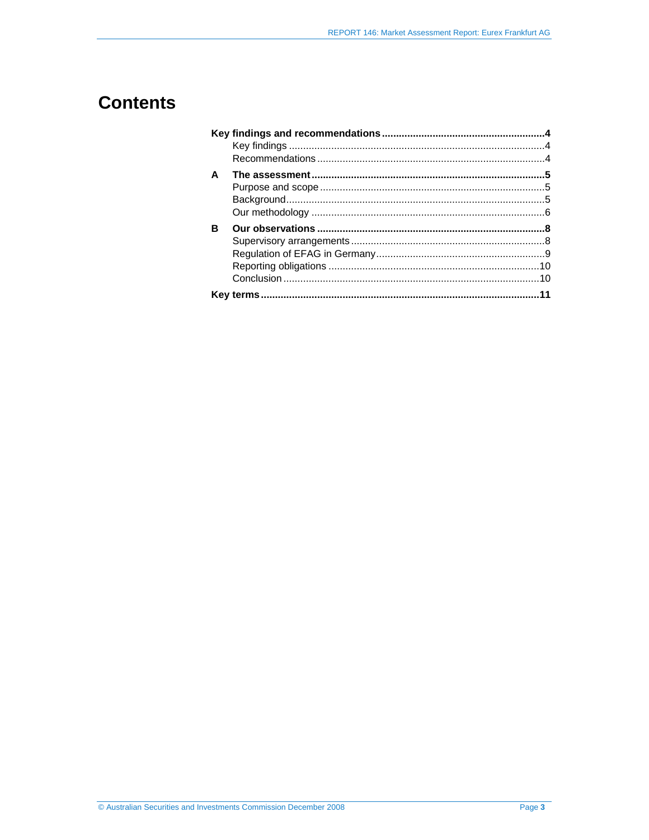# **Contents**

| A |  |
|---|--|
|   |  |
|   |  |
|   |  |
| R |  |
|   |  |
|   |  |
|   |  |
|   |  |
|   |  |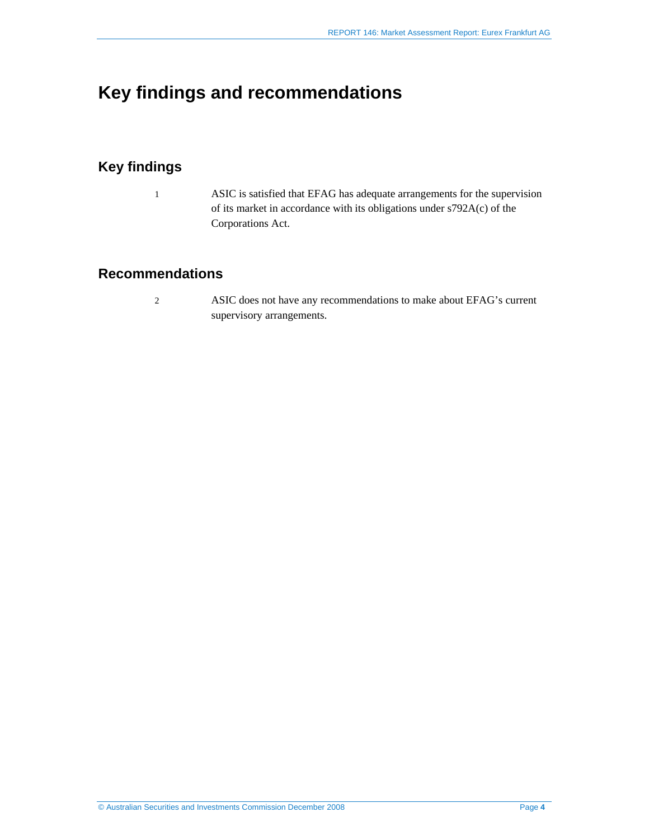## **Key findings and recommendations**

### **Key findings**

1 ASIC is satisfied that EFAG has adequate arrangements for the supervision of its market in accordance with its obligations under s792A(c) of the Corporations Act.

#### **Recommendations**

2 ASIC does not have any recommendations to make about EFAG's current supervisory arrangements.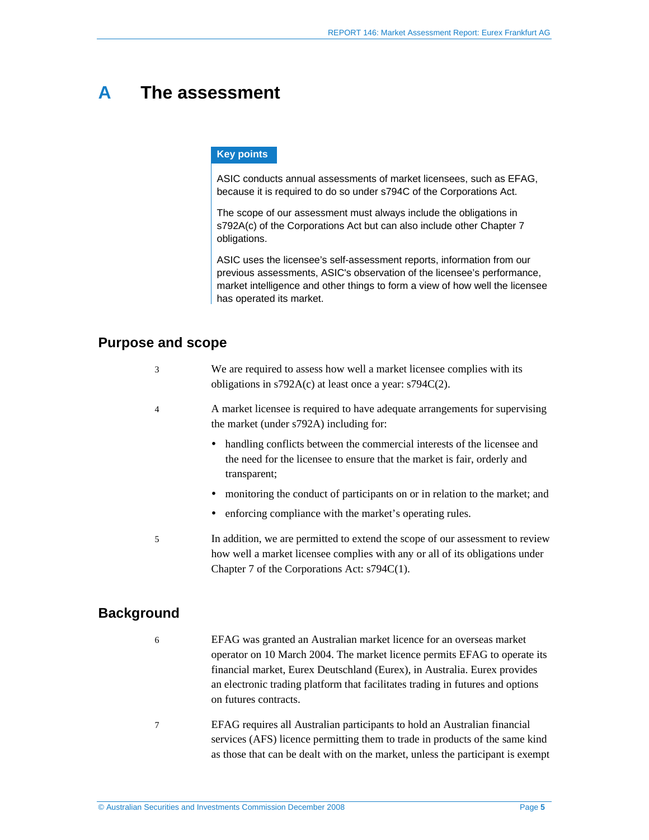### **A The assessment**

#### **Key points**

ASIC conducts annual assessments of market licensees, such as EFAG, because it is required to do so under s794C of the Corporations Act.

The scope of our assessment must always include the obligations in s792A(c) of the Corporations Act but can also include other Chapter 7 obligations.

ASIC uses the licensee's self-assessment reports, information from our previous assessments, ASIC's observation of the licensee's performance, market intelligence and other things to form a view of how well the licensee has operated its market.

#### **Purpose and scope**

| We are required to assess how well a market licensee complies with its |
|------------------------------------------------------------------------|
| obligations in $s792A(c)$ at least once a year: $s794C(2)$ .           |

- 4 A market licensee is required to have adequate arrangements for supervising the market (under s792A) including for:
	- handling conflicts between the commercial interests of the licensee and the need for the licensee to ensure that the market is fair, orderly and transparent;
	- monitoring the conduct of participants on or in relation to the market; and
	- enforcing compliance with the market's operating rules.
- 5 In addition, we are permitted to extend the scope of our assessment to review how well a market licensee complies with any or all of its obligations under Chapter 7 of the Corporations Act: s794C(1).

#### **Background**

- 6 EFAG was granted an Australian market licence for an overseas market operator on 10 March 2004. The market licence permits EFAG to operate its financial market, Eurex Deutschland (Eurex), in Australia. Eurex provides an electronic trading platform that facilitates trading in futures and options on futures contracts.
- 7 EFAG requires all Australian participants to hold an Australian financial services (AFS) licence permitting them to trade in products of the same kind as those that can be dealt with on the market, unless the participant is exempt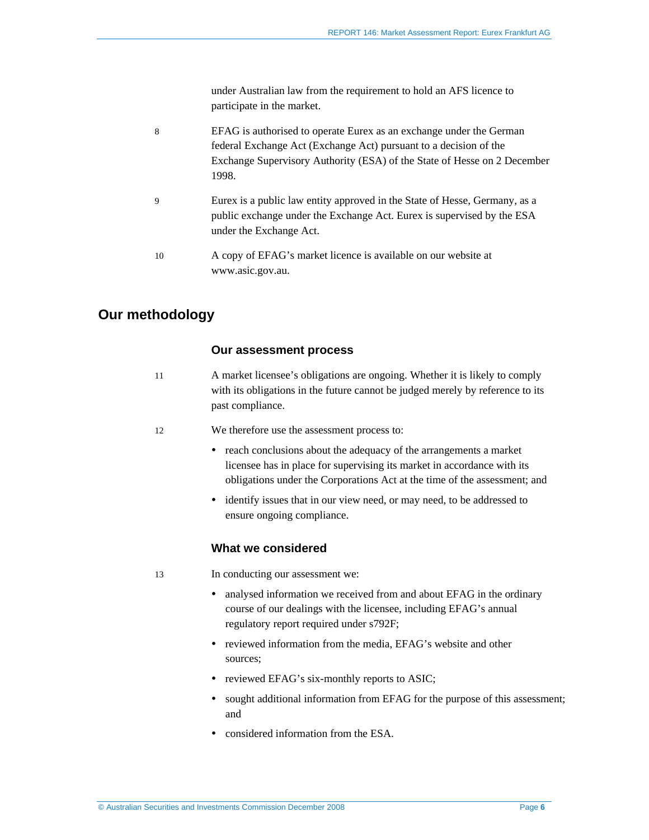under Australian law from the requirement to hold an AFS licence to participate in the market.

- 8 EFAG is authorised to operate Eurex as an exchange under the German federal Exchange Act (Exchange Act) pursuant to a decision of the Exchange Supervisory Authority (ESA) of the State of Hesse on 2 December 1998.
- 9 Eurex is a public law entity approved in the State of Hesse, Germany, as a public exchange under the Exchange Act. Eurex is supervised by the ESA under the Exchange Act.
- 10 A copy of EFAG's market licence is available on our website at www.asic.gov.au.

#### **Our methodology**

#### **Our assessment process**

- 11 A market licensee's obligations are ongoing. Whether it is likely to comply with its obligations in the future cannot be judged merely by reference to its past compliance.
- 12 We therefore use the assessment process to:
	- reach conclusions about the adequacy of the arrangements a market licensee has in place for supervising its market in accordance with its obligations under the Corporations Act at the time of the assessment; and
	- identify issues that in our view need, or may need, to be addressed to ensure ongoing compliance.

#### **What we considered**

13 In conducting our assessment we:

- analysed information we received from and about EFAG in the ordinary course of our dealings with the licensee, including EFAG's annual regulatory report required under s792F;
- reviewed information from the media, EFAG's website and other sources;
- reviewed EFAG's six-monthly reports to ASIC;
- sought additional information from EFAG for the purpose of this assessment; and
- considered information from the ESA.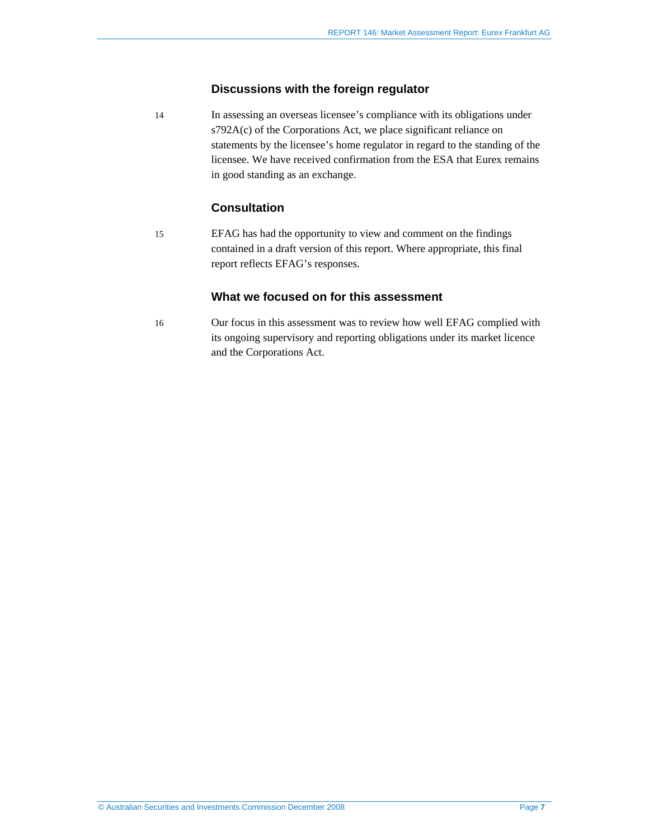#### **Discussions with the foreign regulator**

14 In assessing an overseas licensee's compliance with its obligations under s792A(c) of the Corporations Act, we place significant reliance on statements by the licensee's home regulator in regard to the standing of the licensee. We have received confirmation from the ESA that Eurex remains in good standing as an exchange.

#### **Consultation**

15 EFAG has had the opportunity to view and comment on the findings contained in a draft version of this report. Where appropriate, this final report reflects EFAG's responses.

#### **What we focused on for this assessment**

16 Our focus in this assessment was to review how well EFAG complied with its ongoing supervisory and reporting obligations under its market licence and the Corporations Act.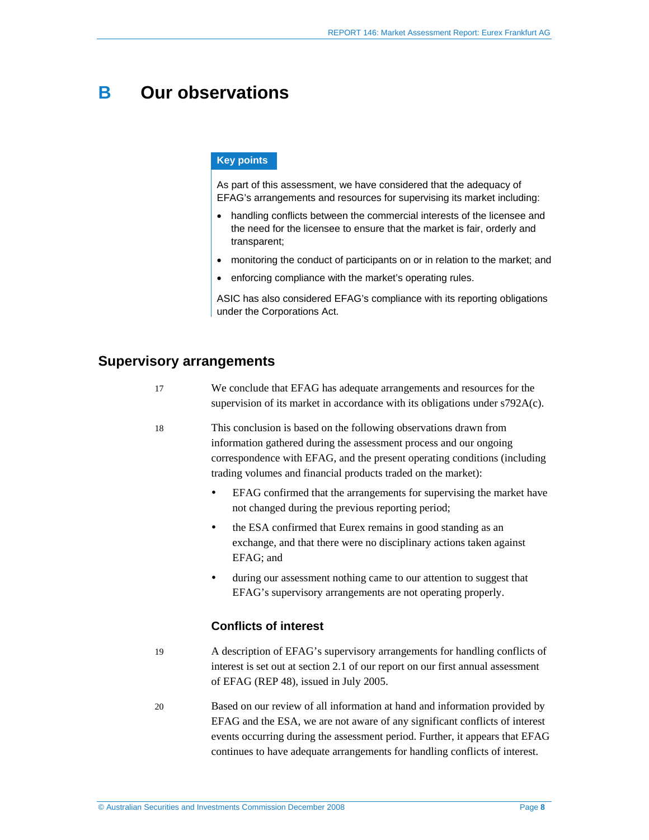## **B Our observations**

#### **Key points**

As part of this assessment, we have considered that the adequacy of EFAG's arrangements and resources for supervising its market including:

- handling conflicts between the commercial interests of the licensee and the need for the licensee to ensure that the market is fair, orderly and transparent;
- monitoring the conduct of participants on or in relation to the market; and
- enforcing compliance with the market's operating rules.

ASIC has also considered EFAG's compliance with its reporting obligations under the Corporations Act.

#### **Supervisory arrangements**

- 17 We conclude that EFAG has adequate arrangements and resources for the supervision of its market in accordance with its obligations under s792A(c).
- 18 This conclusion is based on the following observations drawn from information gathered during the assessment process and our ongoing correspondence with EFAG, and the present operating conditions (including trading volumes and financial products traded on the market):
	- EFAG confirmed that the arrangements for supervising the market have not changed during the previous reporting period;
	- the ESA confirmed that Eurex remains in good standing as an exchange, and that there were no disciplinary actions taken against EFAG; and
	- during our assessment nothing came to our attention to suggest that EFAG's supervisory arrangements are not operating properly.

#### **Conflicts of interest**

- 19 A description of EFAG's supervisory arrangements for handling conflicts of interest is set out at section 2.1 of our report on our first annual assessment of EFAG (REP 48), issued in July 2005.
- 20 Based on our review of all information at hand and information provided by EFAG and the ESA, we are not aware of any significant conflicts of interest events occurring during the assessment period. Further, it appears that EFAG continues to have adequate arrangements for handling conflicts of interest.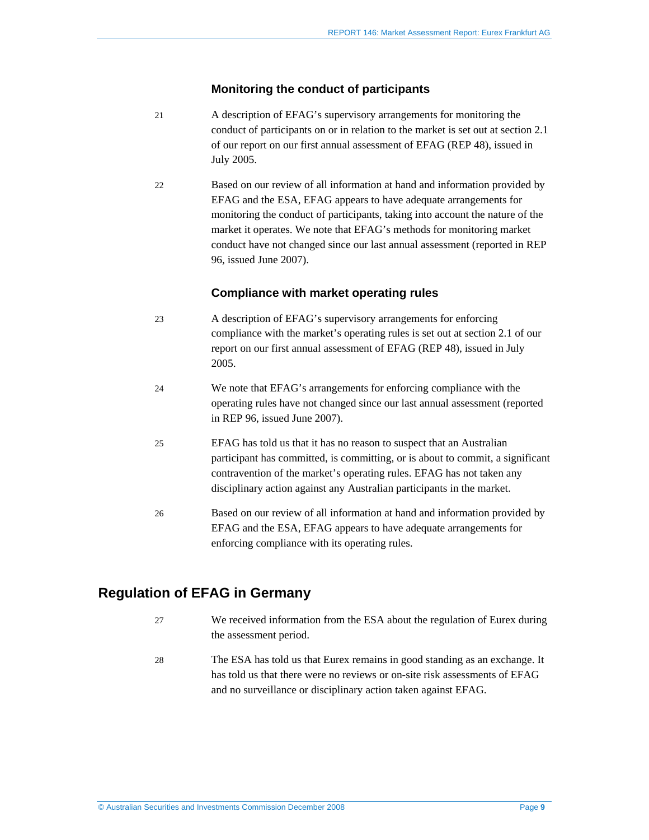#### **Monitoring the conduct of participants**

- 21 A description of EFAG's supervisory arrangements for monitoring the conduct of participants on or in relation to the market is set out at section 2.1 of our report on our first annual assessment of EFAG (REP 48), issued in July 2005.
- 22 Based on our review of all information at hand and information provided by EFAG and the ESA, EFAG appears to have adequate arrangements for monitoring the conduct of participants, taking into account the nature of the market it operates. We note that EFAG's methods for monitoring market conduct have not changed since our last annual assessment (reported in REP 96, issued June 2007).

#### **Compliance with market operating rules**

- 23 A description of EFAG's supervisory arrangements for enforcing compliance with the market's operating rules is set out at section 2.1 of our report on our first annual assessment of EFAG (REP 48), issued in July 2005.
- 24 We note that EFAG's arrangements for enforcing compliance with the operating rules have not changed since our last annual assessment (reported in REP 96, issued June 2007).
- 25 EFAG has told us that it has no reason to suspect that an Australian participant has committed, is committing, or is about to commit, a significant contravention of the market's operating rules. EFAG has not taken any disciplinary action against any Australian participants in the market.
- 26 Based on our review of all information at hand and information provided by EFAG and the ESA, EFAG appears to have adequate arrangements for enforcing compliance with its operating rules.

#### **Regulation of EFAG in Germany**

- 27 We received information from the ESA about the regulation of Eurex during the assessment period.
- 28 The ESA has told us that Eurex remains in good standing as an exchange. It has told us that there were no reviews or on-site risk assessments of EFAG and no surveillance or disciplinary action taken against EFAG.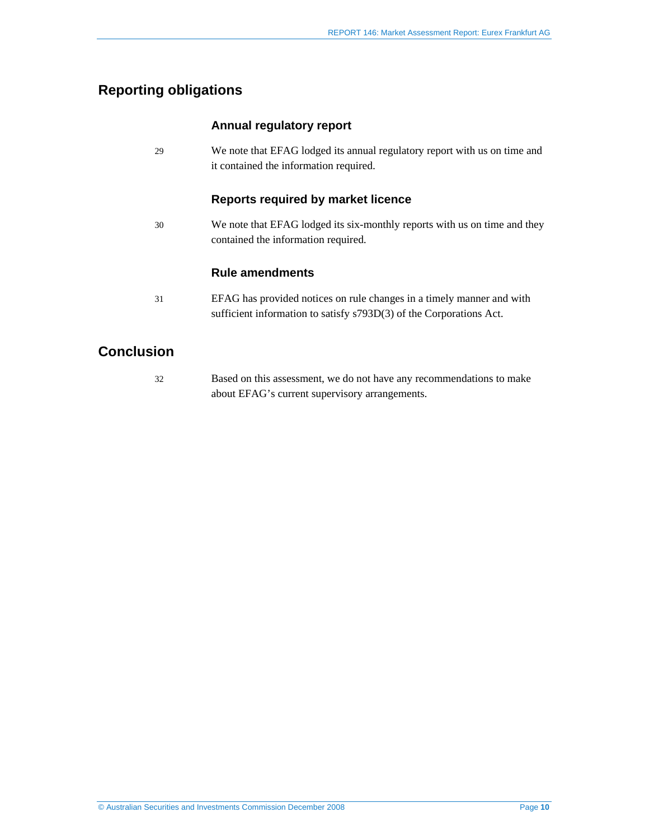### **Reporting obligations**

#### **Annual regulatory report**

29 We note that EFAG lodged its annual regulatory report with us on time and it contained the information required.

#### **Reports required by market licence**

30 We note that EFAG lodged its six-monthly reports with us on time and they contained the information required.

#### **Rule amendments**

31 EFAG has provided notices on rule changes in a timely manner and with sufficient information to satisfy s793D(3) of the Corporations Act.

### **Conclusion**

32 Based on this assessment, we do not have any recommendations to make about EFAG's current supervisory arrangements.